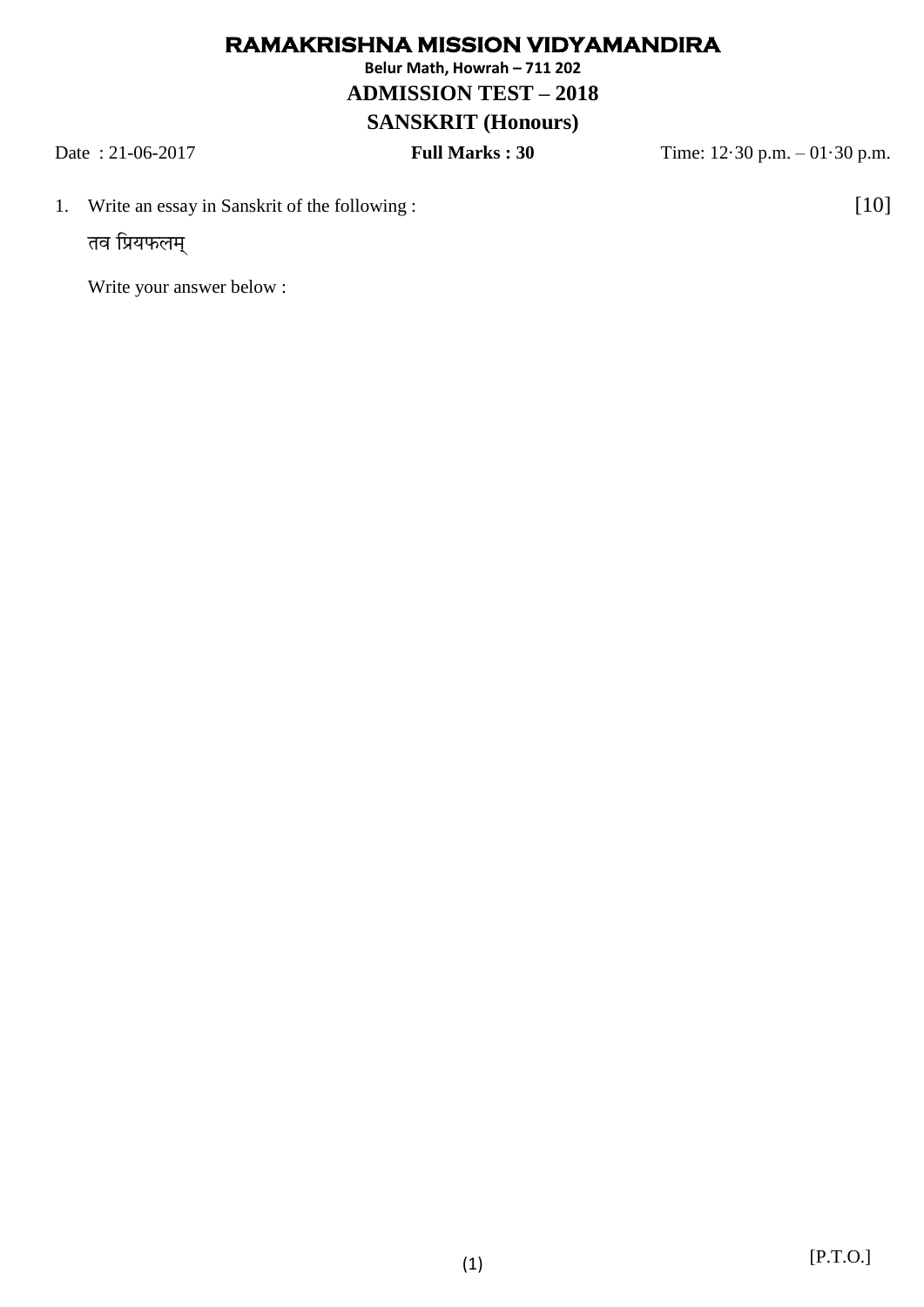## **RAMAKRISHNA MISSION VIDYAMANDIRA**

**Belur Math, Howrah – 711 202**

## **ADMISSION TEST – 2018**

## **SANSKRIT (Honours)**

Date : 21-06-2017 **Full Marks : 30** Time: 12·30 p.m. – 01·30 p.m.

1. Write an essay in Sanskrit of the following : [10]

तव प्रियफलम्

Write your answer below :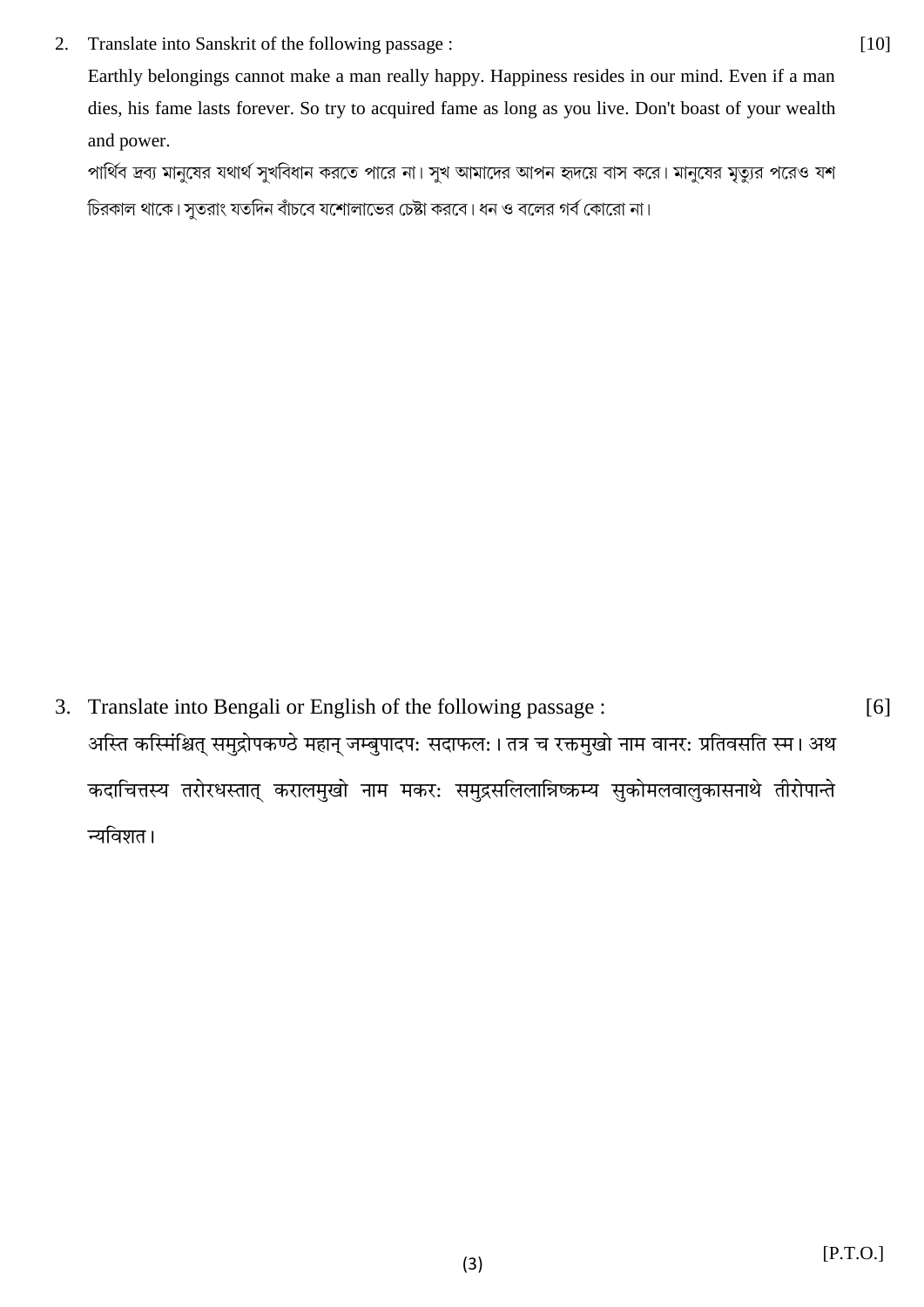$2.$ Translate into Sanskrit of the following passage :

Earthly belongings cannot make a man really happy. Happiness resides in our mind. Even if a man dies, his fame lasts forever. So try to acquired fame as long as you live. Don't boast of your wealth and power.

পার্থিব দ্রব্য মানুষের যথার্থ সুখবিধান করতে পারে না। সুখ আমাদের আপন হৃদয়ে বাস করে। মানুষের মৃত্যুর পরেও যশ চিরকাল থাকে। সুতরাং যতদিন বাঁচবে যশোলাভের চেষ্টা করবে। ধন ও বলের গর্ব কোরো না।

3. Translate into Bengali or English of the following passage: अस्ति कस्मिंश्चित् समुद्रोपकण्ठे महान् जम्बुपादप: सदाफल: । तत्र च रक्तमुखो नाम वानर: प्रतिवसति स्म । अथ कदाचित्तस्य तरोरधस्तात् करालमुखो नाम मकर: समुद्रसलिलान्निष्क्रम्य सुकोमलवालुकासनाथे तीरोपान्ते न्यविशत।

 $[6]$